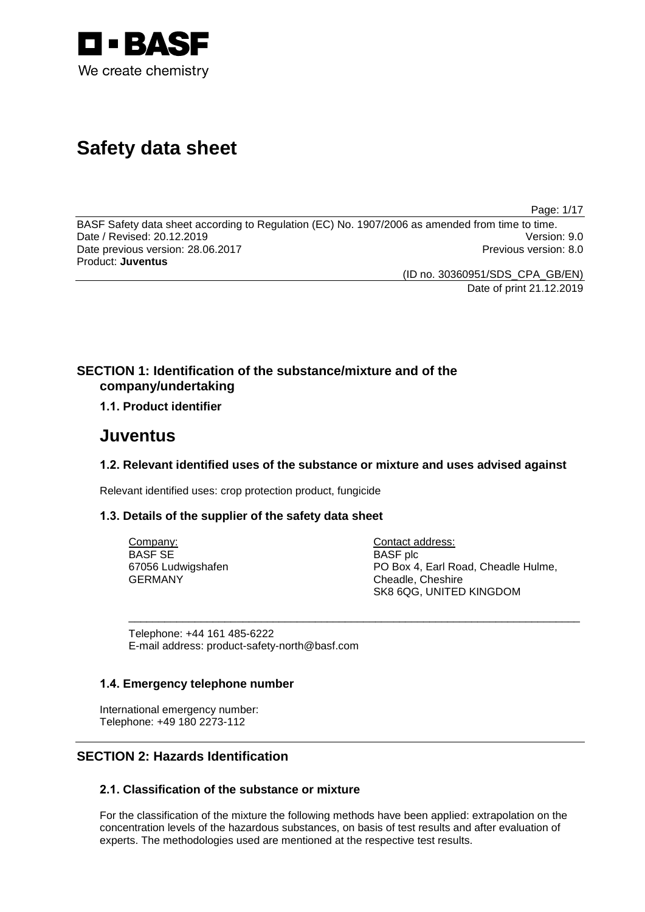

# **Safety data sheet**

Page: 1/17

BASF Safety data sheet according to Regulation (EC) No. 1907/2006 as amended from time to time. Date / Revised: 20.12.2019 Date previous version: 28.06.2017 **Previous version: 8.0** Previous version: 8.0 Product: **Juventus**

(ID no. 30360951/SDS\_CPA\_GB/EN)

Date of print 21.12.2019

## **SECTION 1: Identification of the substance/mixture and of the company/undertaking**

## **1.1. Product identifier**

## **Juventus**

## **1.2. Relevant identified uses of the substance or mixture and uses advised against**

\_\_\_\_\_\_\_\_\_\_\_\_\_\_\_\_\_\_\_\_\_\_\_\_\_\_\_\_\_\_\_\_\_\_\_\_\_\_\_\_\_\_\_\_\_\_\_\_\_\_\_\_\_\_\_\_\_\_\_\_\_\_\_\_\_\_\_\_\_\_\_\_\_\_\_

Relevant identified uses: crop protection product, fungicide

## **1.3. Details of the supplier of the safety data sheet**

Company: BASF SE 67056 Ludwigshafen GERMANY

Contact address: BASF plc PO Box 4, Earl Road, Cheadle Hulme, Cheadle, Cheshire SK8 6QG, UNITED KINGDOM

Telephone: +44 161 485-6222 E-mail address: product-safety-north@basf.com

## **1.4. Emergency telephone number**

International emergency number: Telephone: +49 180 2273-112

## **SECTION 2: Hazards Identification**

## **2.1. Classification of the substance or mixture**

For the classification of the mixture the following methods have been applied: extrapolation on the concentration levels of the hazardous substances, on basis of test results and after evaluation of experts. The methodologies used are mentioned at the respective test results.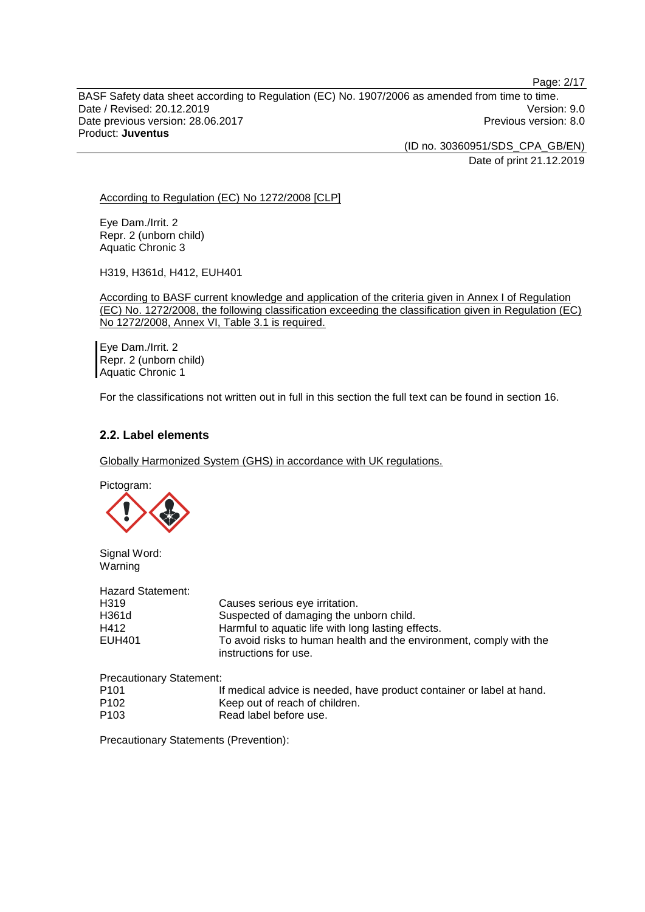BASF Safety data sheet according to Regulation (EC) No. 1907/2006 as amended from time to time. Date / Revised: 20.12.2019 Version: 9.0 Date previous version: 28.06.2017 **Previous version: 8.0** Previous version: 8.0 Product: **Juventus**

> (ID no. 30360951/SDS\_CPA\_GB/EN) Date of print 21.12.2019

According to Regulation (EC) No 1272/2008 [CLP]

Eye Dam./Irrit. 2 Repr. 2 (unborn child) Aquatic Chronic 3

H319, H361d, H412, EUH401

According to BASF current knowledge and application of the criteria given in Annex I of Regulation (EC) No. 1272/2008, the following classification exceeding the classification given in Regulation (EC) No 1272/2008, Annex VI, Table 3.1 is required.

Eye Dam./Irrit. 2 Repr. 2 (unborn child) Aquatic Chronic 1

For the classifications not written out in full in this section the full text can be found in section 16.

## **2.2. Label elements**

Globally Harmonized System (GHS) in accordance with UK regulations.

Pictogram:



Signal Word: Warning

| Hazard Statement: |                                                                                              |
|-------------------|----------------------------------------------------------------------------------------------|
| H319              | Causes serious eye irritation.                                                               |
| H361d             | Suspected of damaging the unborn child.                                                      |
| H412              | Harmful to aquatic life with long lasting effects.                                           |
| EUH401            | To avoid risks to human health and the environment, comply with the<br>instructions for use. |

Precautionary Statement:

| P <sub>101</sub> | If medical advice is needed, have product container or label at hand. |
|------------------|-----------------------------------------------------------------------|
| P <sub>102</sub> | Keep out of reach of children.                                        |
| P <sub>103</sub> | Read label before use.                                                |

Precautionary Statements (Prevention):

Page: 2/17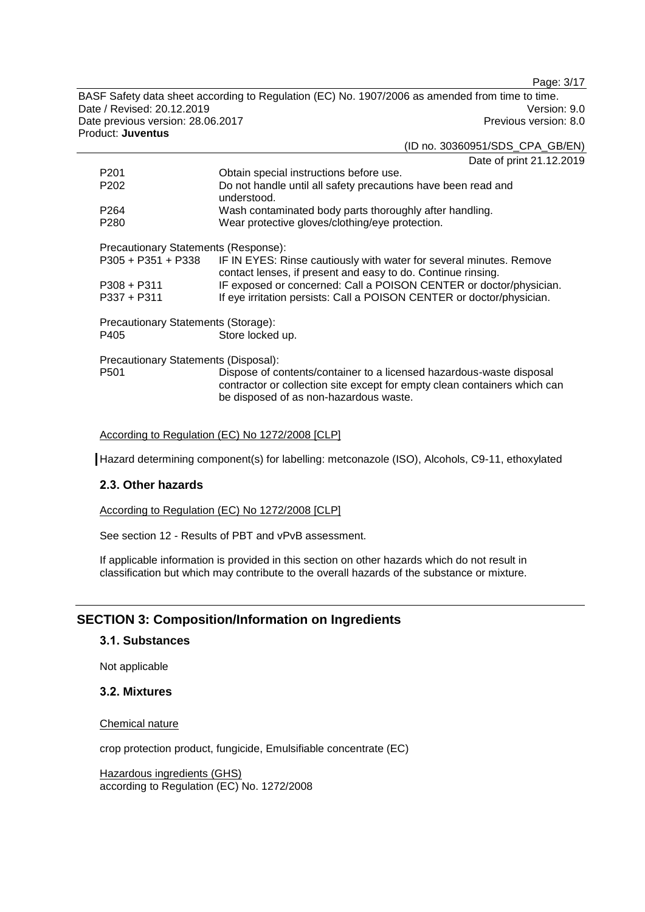Page: 3/17

BASF Safety data sheet according to Regulation (EC) No. 1907/2006 as amended from time to time. Date / Revised: 20.12.2019 Version: 9.0 Date previous version: 28.06.2017 **Previous version: 8.0** Previous version: 8.0 Product: **Juventus**

|                                      | (ID no. 30360951/SDS_CPA_GB/EN)                                                                                                                                                             |  |
|--------------------------------------|---------------------------------------------------------------------------------------------------------------------------------------------------------------------------------------------|--|
|                                      | Date of print 21.12.2019                                                                                                                                                                    |  |
| P <sub>201</sub>                     | Obtain special instructions before use.                                                                                                                                                     |  |
| P <sub>202</sub>                     | Do not handle until all safety precautions have been read and<br>understood.                                                                                                                |  |
| P <sub>264</sub>                     | Wash contaminated body parts thoroughly after handling.                                                                                                                                     |  |
| P <sub>280</sub>                     | Wear protective gloves/clothing/eye protection.                                                                                                                                             |  |
| Precautionary Statements (Response): |                                                                                                                                                                                             |  |
| $P305 + P351 + P338$                 | IF IN EYES: Rinse cautiously with water for several minutes. Remove<br>contact lenses, if present and easy to do. Continue rinsing.                                                         |  |
| $P308 + P311$                        | IF exposed or concerned: Call a POISON CENTER or doctor/physician.                                                                                                                          |  |
| $P337 + P311$                        | If eye irritation persists: Call a POISON CENTER or doctor/physician.                                                                                                                       |  |
| Precautionary Statements (Storage):  |                                                                                                                                                                                             |  |
| P405                                 | Store locked up.                                                                                                                                                                            |  |
| Precautionary Statements (Disposal): |                                                                                                                                                                                             |  |
| P <sub>501</sub>                     | Dispose of contents/container to a licensed hazardous-waste disposal<br>contractor or collection site except for empty clean containers which can<br>be disposed of as non-hazardous waste. |  |
|                                      |                                                                                                                                                                                             |  |

According to Regulation (EC) No 1272/2008 [CLP]

Hazard determining component(s) for labelling: metconazole (ISO), Alcohols, C9-11, ethoxylated

## **2.3. Other hazards**

According to Regulation (EC) No 1272/2008 [CLP]

See section 12 - Results of PBT and vPvB assessment.

If applicable information is provided in this section on other hazards which do not result in classification but which may contribute to the overall hazards of the substance or mixture.

## **SECTION 3: Composition/Information on Ingredients**

#### **3.1. Substances**

Not applicable

#### **3.2. Mixtures**

Chemical nature

crop protection product, fungicide, Emulsifiable concentrate (EC)

Hazardous ingredients (GHS) according to Regulation (EC) No. 1272/2008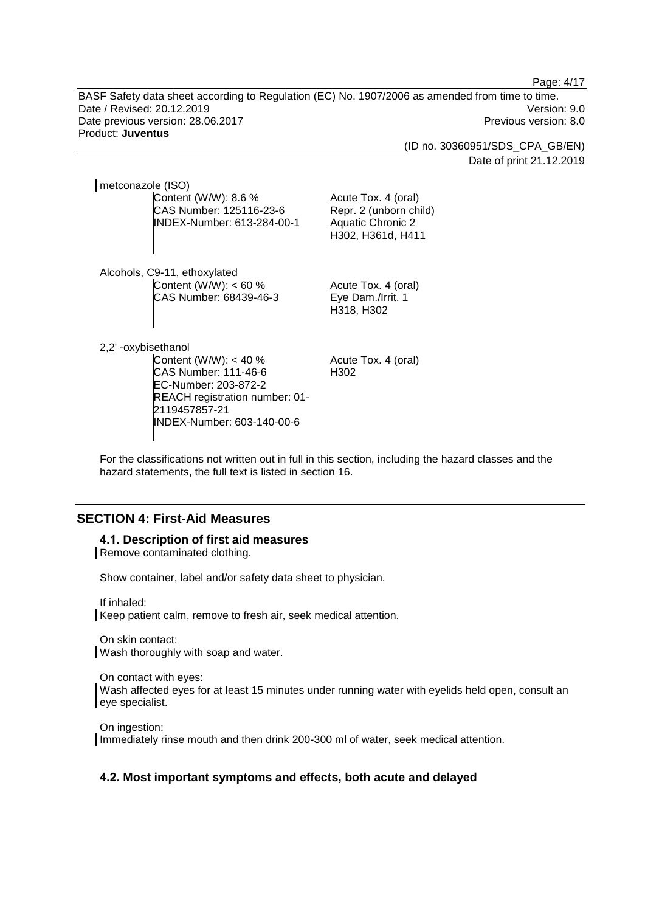Page: 4/17

BASF Safety data sheet according to Regulation (EC) No. 1907/2006 as amended from time to time. Date / Revised: 20.12.2019 Version: 9.0 Date previous version: 28.06.2017 **Previous version: 8.0** Previous version: 8.0 Product: **Juventus**

> (ID no. 30360951/SDS\_CPA\_GB/EN) Date of print 21.12.2019

metconazole (ISO) Content (W/W): 8.6 % CAS Number: 125116-23-6 INDEX-Number: 613-284-00-1

Alcohols, C9-11, ethoxylated Content (W/W): < 60 % CAS Number: 68439-46-3

H318, H302

Acute Tox. 4 (oral) Eye Dam./Irrit. 1

Acute Tox. 4 (oral) Repr. 2 (unborn child) Aquatic Chronic 2 H302, H361d, H411

2,2' -oxybisethanol

Content (W/W): < 40 % CAS Number: 111-46-6 EC-Number: 203-872-2 REACH registration number: 01- 2119457857-21 INDEX-Number: 603-140-00-6

Acute Tox. 4 (oral) H302

For the classifications not written out in full in this section, including the hazard classes and the hazard statements, the full text is listed in section 16.

## **SECTION 4: First-Aid Measures**

#### **4.1. Description of first aid measures**

Remove contaminated clothing.

Show container, label and/or safety data sheet to physician.

If inhaled:

Keep patient calm, remove to fresh air, seek medical attention.

On skin contact: Wash thoroughly with soap and water.

On contact with eyes: Wash affected eyes for at least 15 minutes under running water with eyelids held open, consult an eye specialist.

On ingestion: Immediately rinse mouth and then drink 200-300 ml of water, seek medical attention.

## **4.2. Most important symptoms and effects, both acute and delayed**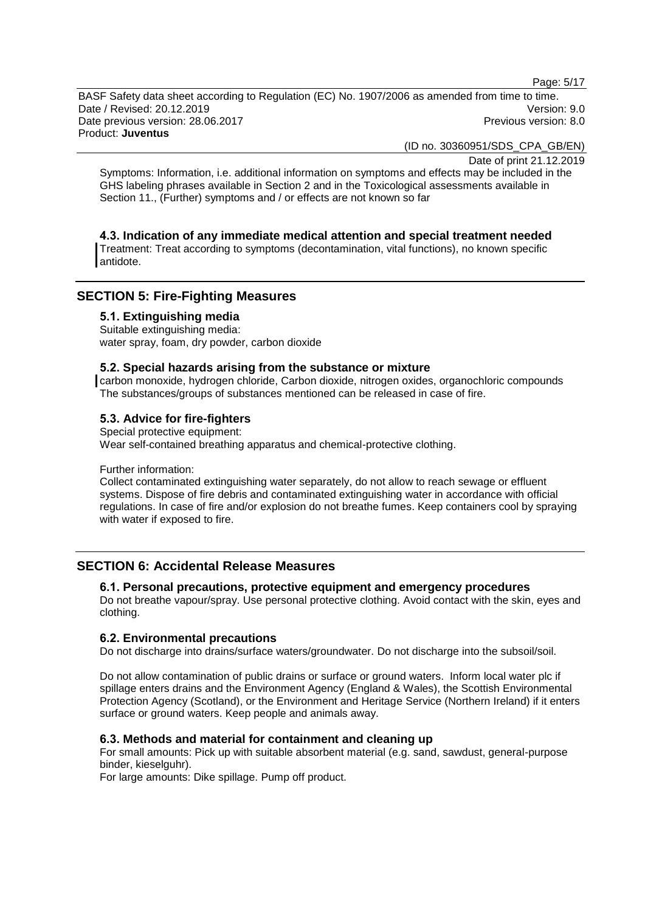Page: 5/17

BASF Safety data sheet according to Regulation (EC) No. 1907/2006 as amended from time to time. Date / Revised: 20.12.2019 Version: 9.0 Date previous version: 28.06.2017 **Previous version: 8.0** Previous version: 8.0 Product: **Juventus**

(ID no. 30360951/SDS\_CPA\_GB/EN)

Date of print 21.12.2019

Symptoms: Information, i.e. additional information on symptoms and effects may be included in the GHS labeling phrases available in Section 2 and in the Toxicological assessments available in Section 11., (Further) symptoms and / or effects are not known so far

## **4.3. Indication of any immediate medical attention and special treatment needed**

Treatment: Treat according to symptoms (decontamination, vital functions), no known specific antidote.

## **SECTION 5: Fire-Fighting Measures**

#### **5.1. Extinguishing media**

Suitable extinguishing media: water spray, foam, dry powder, carbon dioxide

#### **5.2. Special hazards arising from the substance or mixture**

carbon monoxide, hydrogen chloride, Carbon dioxide, nitrogen oxides, organochloric compounds The substances/groups of substances mentioned can be released in case of fire.

## **5.3. Advice for fire-fighters**

Special protective equipment: Wear self-contained breathing apparatus and chemical-protective clothing.

## Further information:

Collect contaminated extinguishing water separately, do not allow to reach sewage or effluent systems. Dispose of fire debris and contaminated extinguishing water in accordance with official regulations. In case of fire and/or explosion do not breathe fumes. Keep containers cool by spraying with water if exposed to fire.

## **SECTION 6: Accidental Release Measures**

## **6.1. Personal precautions, protective equipment and emergency procedures**

Do not breathe vapour/spray. Use personal protective clothing. Avoid contact with the skin, eyes and clothing.

#### **6.2. Environmental precautions**

Do not discharge into drains/surface waters/groundwater. Do not discharge into the subsoil/soil.

Do not allow contamination of public drains or surface or ground waters. Inform local water plc if spillage enters drains and the Environment Agency (England & Wales), the Scottish Environmental Protection Agency (Scotland), or the Environment and Heritage Service (Northern Ireland) if it enters surface or ground waters. Keep people and animals away.

## **6.3. Methods and material for containment and cleaning up**

For small amounts: Pick up with suitable absorbent material (e.g. sand, sawdust, general-purpose binder, kieselguhr).

For large amounts: Dike spillage. Pump off product.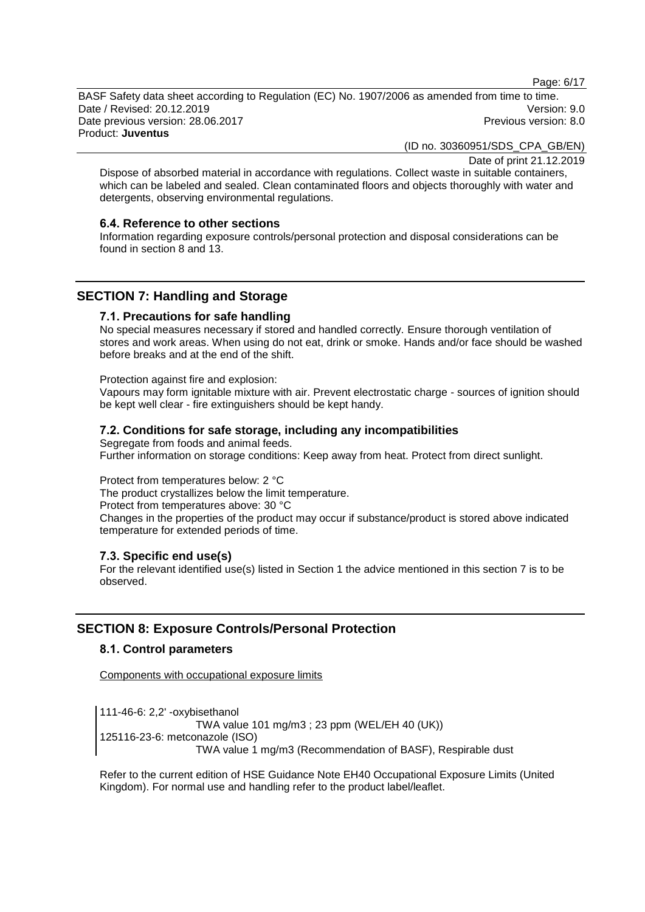Page: 6/17

BASF Safety data sheet according to Regulation (EC) No. 1907/2006 as amended from time to time. Date / Revised: 20.12.2019 Version: 9.0 Date previous version: 28.06.2017 **Previous version: 8.0** Previous version: 8.0 Product: **Juventus**

(ID no. 30360951/SDS\_CPA\_GB/EN)

Date of print 21.12.2019

Dispose of absorbed material in accordance with regulations. Collect waste in suitable containers, which can be labeled and sealed. Clean contaminated floors and objects thoroughly with water and detergents, observing environmental regulations.

## **6.4. Reference to other sections**

Information regarding exposure controls/personal protection and disposal considerations can be found in section 8 and 13.

## **SECTION 7: Handling and Storage**

#### **7.1. Precautions for safe handling**

No special measures necessary if stored and handled correctly. Ensure thorough ventilation of stores and work areas. When using do not eat, drink or smoke. Hands and/or face should be washed before breaks and at the end of the shift.

Protection against fire and explosion:

Vapours may form ignitable mixture with air. Prevent electrostatic charge - sources of ignition should be kept well clear - fire extinguishers should be kept handy.

## **7.2. Conditions for safe storage, including any incompatibilities**

Segregate from foods and animal feeds. Further information on storage conditions: Keep away from heat. Protect from direct sunlight.

Protect from temperatures below: 2 °C The product crystallizes below the limit temperature. Protect from temperatures above: 30 °C Changes in the properties of the product may occur if substance/product is stored above indicated temperature for extended periods of time.

## **7.3. Specific end use(s)**

For the relevant identified use(s) listed in Section 1 the advice mentioned in this section 7 is to be observed.

## **SECTION 8: Exposure Controls/Personal Protection**

## **8.1. Control parameters**

Components with occupational exposure limits

111-46-6: 2,2' -oxybisethanol TWA value 101 mg/m3 ; 23 ppm (WEL/EH 40 (UK)) 125116-23-6: metconazole (ISO) TWA value 1 mg/m3 (Recommendation of BASF), Respirable dust

Refer to the current edition of HSE Guidance Note EH40 Occupational Exposure Limits (United Kingdom). For normal use and handling refer to the product label/leaflet.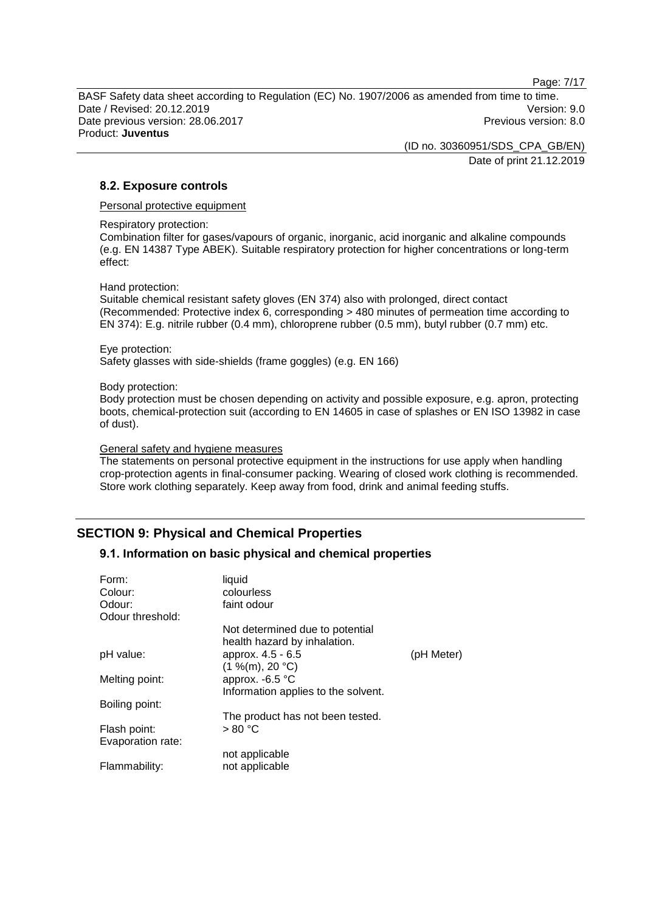Page: 7/17

BASF Safety data sheet according to Regulation (EC) No. 1907/2006 as amended from time to time. Date / Revised: 20.12.2019 Version: 9.0 Date previous version: 28.06.2017 **Previous version: 8.0** Previous version: 8.0 Product: **Juventus**

> (ID no. 30360951/SDS\_CPA\_GB/EN) Date of print 21.12.2019

## **8.2. Exposure controls**

Personal protective equipment

Respiratory protection:

Combination filter for gases/vapours of organic, inorganic, acid inorganic and alkaline compounds (e.g. EN 14387 Type ABEK). Suitable respiratory protection for higher concentrations or long-term effect:

#### Hand protection:

Suitable chemical resistant safety gloves (EN 374) also with prolonged, direct contact (Recommended: Protective index 6, corresponding > 480 minutes of permeation time according to EN 374): E.g. nitrile rubber (0.4 mm), chloroprene rubber (0.5 mm), butyl rubber (0.7 mm) etc.

#### Eye protection:

Safety glasses with side-shields (frame goggles) (e.g. EN 166)

#### Body protection:

Body protection must be chosen depending on activity and possible exposure, e.g. apron, protecting boots, chemical-protection suit (according to EN 14605 in case of splashes or EN ISO 13982 in case of dust).

#### General safety and hygiene measures

The statements on personal protective equipment in the instructions for use apply when handling crop-protection agents in final-consumer packing. Wearing of closed work clothing is recommended. Store work clothing separately. Keep away from food, drink and animal feeding stuffs.

## **SECTION 9: Physical and Chemical Properties**

## **9.1. Information on basic physical and chemical properties**

| Form:<br>Colour:  | liquid<br>colourless                                            |            |
|-------------------|-----------------------------------------------------------------|------------|
| Odour:            | faint odour                                                     |            |
| Odour threshold:  |                                                                 |            |
|                   | Not determined due to potential<br>health hazard by inhalation. |            |
| pH value:         | approx. 4.5 - 6.5                                               | (pH Meter) |
| Melting point:    | (1 %(m), 20 °C)<br>approx. -6.5 °C                              |            |
|                   | Information applies to the solvent.                             |            |
| Boiling point:    |                                                                 |            |
|                   | The product has not been tested.                                |            |
| Flash point:      | > 80 °C                                                         |            |
| Evaporation rate: |                                                                 |            |
|                   | not applicable                                                  |            |
| Flammability:     | not applicable                                                  |            |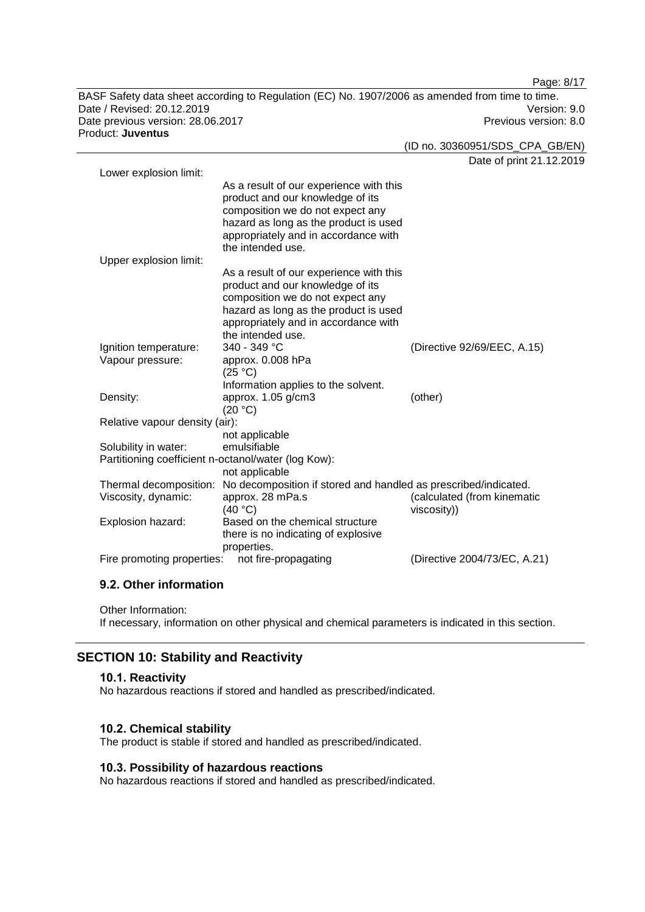BASF Safety data sheet according to Regulation (EC) No. 1907/2006 as amended from time to time. Date / Revised: 20.12.2019 Version: 9.0 Date previous version: 28.06.2017 **Previous version: 8.0** Previous version: 8.0 Product: **Juventus**

Page: 8/17

(ID no. 30360951/SDS\_CPA\_GB/EN)

Date of print 21.12.2019 Lower explosion limit: As a result of our experience with this product and our knowledge of its composition we do not expect any hazard as long as the product is used appropriately and in accordance with the intended use. Upper explosion limit: As a result of our experience with this product and our knowledge of its composition we do not expect any hazard as long as the product is used appropriately and in accordance with the intended use.<br> $340 - 349$  °C Ignition temperature: 340 - 349 °C (Directive 92/69/EEC, A.15) Vapour pressure: approx. 0.008 hPa  $(25 °C)$ Information applies to the solvent. Density: approx. 1.05 g/cm3  $(20 °C)$ (other) Relative vapour density (air): not applicable Solubility in water: Partitioning coefficient n-octanol/water (log Kow): not applicable Thermal decomposition: No decomposition if stored and handled as prescribed/indicated. Viscosity, dynamic: approx. 28 mPa.s  $(40 °C)$ (calculated (from kinematic viscosity)) Explosion hazard: Based on the chemical structure there is no indicating of explosive properties. Fire promoting properties: not fire-propagating (Directive 2004/73/EC, A.21)

## **9.2. Other information**

Other Information:

If necessary, information on other physical and chemical parameters is indicated in this section.

## **SECTION 10: Stability and Reactivity**

#### **10.1. Reactivity**

No hazardous reactions if stored and handled as prescribed/indicated.

#### **10.2. Chemical stability**

The product is stable if stored and handled as prescribed/indicated.

### **10.3. Possibility of hazardous reactions**

No hazardous reactions if stored and handled as prescribed/indicated.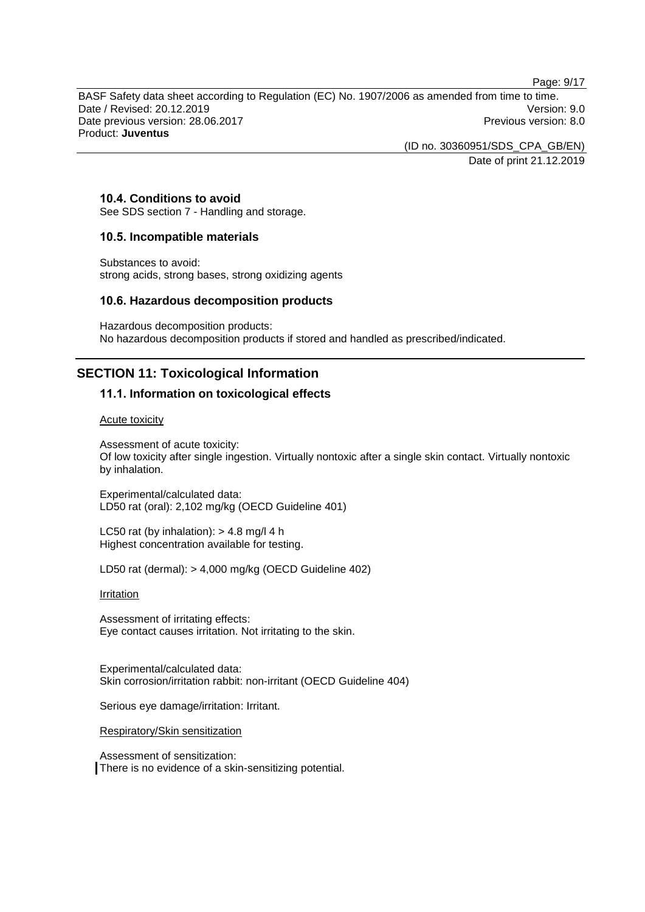Page: 9/17

BASF Safety data sheet according to Regulation (EC) No. 1907/2006 as amended from time to time. Date / Revised: 20.12.2019 Version: 9.0 Date previous version: 28.06.2017 **Previous version: 8.0** Previous version: 8.0 Product: **Juventus**

> (ID no. 30360951/SDS\_CPA\_GB/EN) Date of print 21.12.2019

## **10.4. Conditions to avoid**

See SDS section 7 - Handling and storage.

#### **10.5. Incompatible materials**

Substances to avoid: strong acids, strong bases, strong oxidizing agents

#### **10.6. Hazardous decomposition products**

Hazardous decomposition products: No hazardous decomposition products if stored and handled as prescribed/indicated.

## **SECTION 11: Toxicological Information**

## **11.1. Information on toxicological effects**

Acute toxicity

Assessment of acute toxicity: Of low toxicity after single ingestion. Virtually nontoxic after a single skin contact. Virtually nontoxic by inhalation.

Experimental/calculated data: LD50 rat (oral): 2,102 mg/kg (OECD Guideline 401)

LC50 rat (by inhalation):  $> 4.8$  mg/l 4 h Highest concentration available for testing.

LD50 rat (dermal): > 4,000 mg/kg (OECD Guideline 402)

**Irritation** 

Assessment of irritating effects: Eye contact causes irritation. Not irritating to the skin.

Experimental/calculated data: Skin corrosion/irritation rabbit: non-irritant (OECD Guideline 404)

Serious eye damage/irritation: Irritant.

Respiratory/Skin sensitization

Assessment of sensitization: There is no evidence of a skin-sensitizing potential.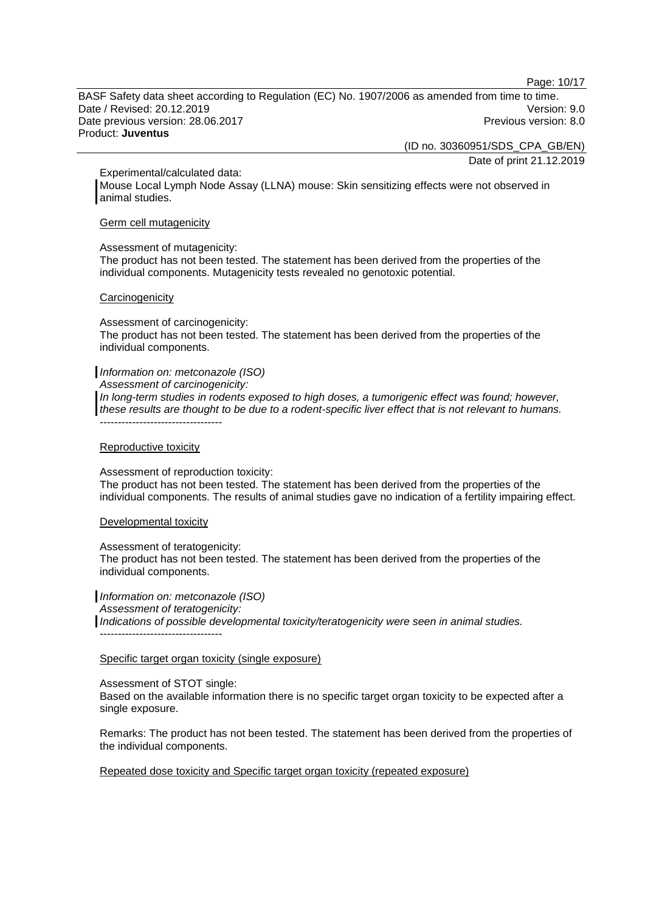Page: 10/17

BASF Safety data sheet according to Regulation (EC) No. 1907/2006 as amended from time to time. Date / Revised: 20.12.2019 Version: 9.0 Date previous version: 28.06.2017 **Previous version: 8.0** Previous version: 8.0 Product: **Juventus**

> (ID no. 30360951/SDS\_CPA\_GB/EN) Date of print 21.12.2019

Experimental/calculated data:

Mouse Local Lymph Node Assay (LLNA) mouse: Skin sensitizing effects were not observed in animal studies.

#### Germ cell mutagenicity

#### Assessment of mutagenicity:

The product has not been tested. The statement has been derived from the properties of the individual components. Mutagenicity tests revealed no genotoxic potential.

#### **Carcinogenicity**

Assessment of carcinogenicity:

The product has not been tested. The statement has been derived from the properties of the individual components.

#### *Information on: metconazole (ISO)*

*Assessment of carcinogenicity:*

*In long-term studies in rodents exposed to high doses, a tumorigenic effect was found; however, these results are thought to be due to a rodent-specific liver effect that is not relevant to humans.* ----------------------------------

#### Reproductive toxicity

Assessment of reproduction toxicity:

The product has not been tested. The statement has been derived from the properties of the individual components. The results of animal studies gave no indication of a fertility impairing effect.

Developmental toxicity

Assessment of teratogenicity:

The product has not been tested. The statement has been derived from the properties of the individual components.

*Information on: metconazole (ISO) Assessment of teratogenicity: Indications of possible developmental toxicity/teratogenicity were seen in animal studies.* ----------------------------------

## Specific target organ toxicity (single exposure)

Assessment of STOT single:

Based on the available information there is no specific target organ toxicity to be expected after a single exposure.

Remarks: The product has not been tested. The statement has been derived from the properties of the individual components.

Repeated dose toxicity and Specific target organ toxicity (repeated exposure)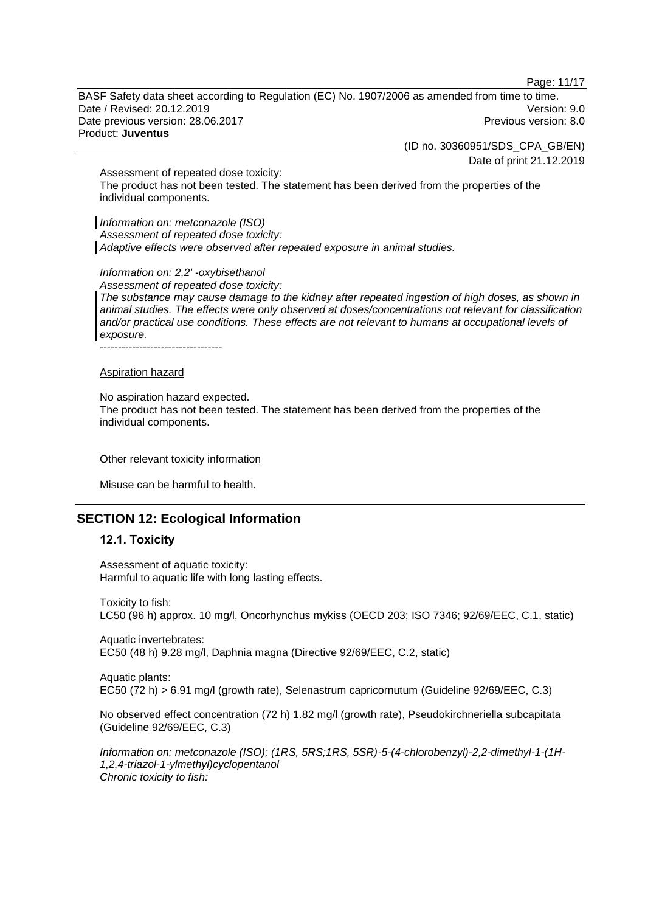Page: 11/17

BASF Safety data sheet according to Regulation (EC) No. 1907/2006 as amended from time to time. Date / Revised: 20.12.2019 Version: 9.0 Date previous version: 28.06.2017 **Previous version: 8.0** Previous version: 8.0 Product: **Juventus**

(ID no. 30360951/SDS\_CPA\_GB/EN)

Date of print 21.12.2019

Assessment of repeated dose toxicity: The product has not been tested. The statement has been derived from the properties of the individual components.

*Information on: metconazole (ISO) Assessment of repeated dose toxicity: Adaptive effects were observed after repeated exposure in animal studies.*

*Information on: 2,2' -oxybisethanol*

*Assessment of repeated dose toxicity: The substance may cause damage to the kidney after repeated ingestion of high doses, as shown in animal studies. The effects were only observed at doses/concentrations not relevant for classification and/or practical use conditions. These effects are not relevant to humans at occupational levels of exposure.*

----------------------------------

#### Aspiration hazard

No aspiration hazard expected.

The product has not been tested. The statement has been derived from the properties of the individual components.

#### Other relevant toxicity information

Misuse can be harmful to health.

## **SECTION 12: Ecological Information**

## **12.1. Toxicity**

Assessment of aquatic toxicity: Harmful to aquatic life with long lasting effects.

Toxicity to fish: LC50 (96 h) approx. 10 mg/l, Oncorhynchus mykiss (OECD 203; ISO 7346; 92/69/EEC, C.1, static)

Aquatic invertebrates: EC50 (48 h) 9.28 mg/l, Daphnia magna (Directive 92/69/EEC, C.2, static)

Aquatic plants: EC50 (72 h) > 6.91 mg/l (growth rate), Selenastrum capricornutum (Guideline 92/69/EEC, C.3)

No observed effect concentration (72 h) 1.82 mg/l (growth rate), Pseudokirchneriella subcapitata (Guideline 92/69/EEC, C.3)

*Information on: metconazole (ISO); (1RS, 5RS;1RS, 5SR)-5-(4-chlorobenzyl)-2,2-dimethyl-1-(1H-1,2,4-triazol-1-ylmethyl)cyclopentanol Chronic toxicity to fish:*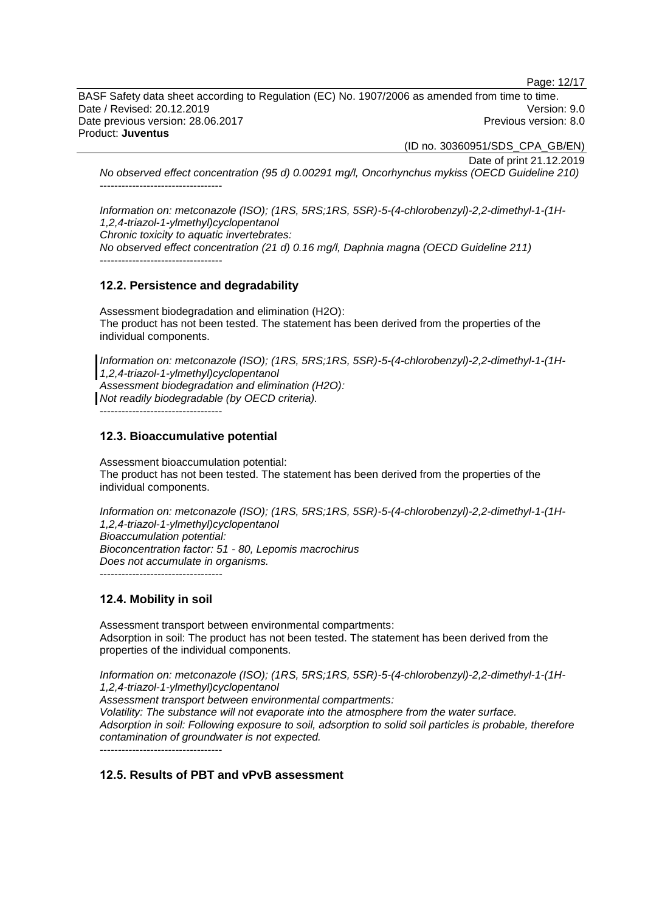Page: 12/17

BASF Safety data sheet according to Regulation (EC) No. 1907/2006 as amended from time to time. Date / Revised: 20.12.2019 Version: 9.0 Date previous version: 28.06.2017 **Previous version: 8.0** Previous version: 8.0 Product: **Juventus**

(ID no. 30360951/SDS\_CPA\_GB/EN)

Date of print 21.12.2019

*No observed effect concentration (95 d) 0.00291 mg/l, Oncorhynchus mykiss (OECD Guideline 210)* ----------------------------------

*Information on: metconazole (ISO); (1RS, 5RS;1RS, 5SR)-5-(4-chlorobenzyl)-2,2-dimethyl-1-(1H-1,2,4-triazol-1-ylmethyl)cyclopentanol Chronic toxicity to aquatic invertebrates: No observed effect concentration (21 d) 0.16 mg/l, Daphnia magna (OECD Guideline 211)*

----------------------------------

#### **12.2. Persistence and degradability**

Assessment biodegradation and elimination (H2O): The product has not been tested. The statement has been derived from the properties of the individual components.

*Information on: metconazole (ISO); (1RS, 5RS;1RS, 5SR)-5-(4-chlorobenzyl)-2,2-dimethyl-1-(1H-1,2,4-triazol-1-ylmethyl)cyclopentanol Assessment biodegradation and elimination (H2O): Not readily biodegradable (by OECD criteria).*

----------------------------------

## **12.3. Bioaccumulative potential**

Assessment bioaccumulation potential: The product has not been tested. The statement has been derived from the properties of the individual components.

*Information on: metconazole (ISO); (1RS, 5RS;1RS, 5SR)-5-(4-chlorobenzyl)-2,2-dimethyl-1-(1H-1,2,4-triazol-1-ylmethyl)cyclopentanol Bioaccumulation potential: Bioconcentration factor: 51 - 80, Lepomis macrochirus Does not accumulate in organisms.* ----------------------------------

## **12.4. Mobility in soil**

Assessment transport between environmental compartments: Adsorption in soil: The product has not been tested. The statement has been derived from the properties of the individual components.

*Information on: metconazole (ISO); (1RS, 5RS;1RS, 5SR)-5-(4-chlorobenzyl)-2,2-dimethyl-1-(1H-1,2,4-triazol-1-ylmethyl)cyclopentanol Assessment transport between environmental compartments: Volatility: The substance will not evaporate into the atmosphere from the water surface. Adsorption in soil: Following exposure to soil, adsorption to solid soil particles is probable, therefore contamination of groundwater is not expected.* ----------------------------------

## **12.5. Results of PBT and vPvB assessment**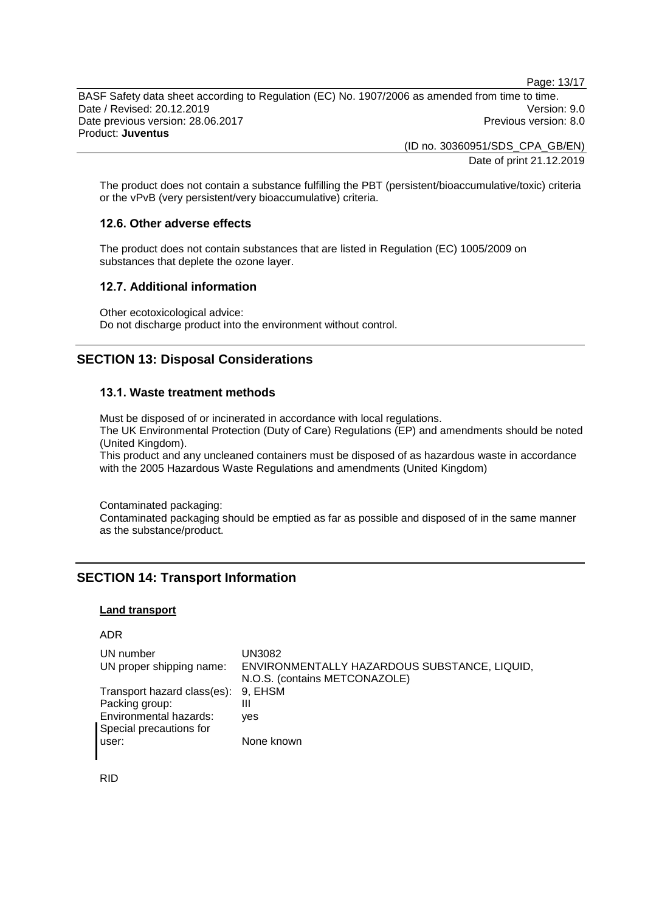Page: 13/17

BASF Safety data sheet according to Regulation (EC) No. 1907/2006 as amended from time to time. Date / Revised: 20.12.2019 Version: 9.0 Date previous version: 28.06.2017 **Previous version: 8.0** Previous version: 8.0 Product: **Juventus**

> (ID no. 30360951/SDS\_CPA\_GB/EN) Date of print 21.12.2019

The product does not contain a substance fulfilling the PBT (persistent/bioaccumulative/toxic) criteria or the vPvB (very persistent/very bioaccumulative) criteria.

## **12.6. Other adverse effects**

The product does not contain substances that are listed in Regulation (EC) 1005/2009 on substances that deplete the ozone layer.

#### **12.7. Additional information**

Other ecotoxicological advice: Do not discharge product into the environment without control.

## **SECTION 13: Disposal Considerations**

#### **13.1. Waste treatment methods**

Must be disposed of or incinerated in accordance with local regulations. The UK Environmental Protection (Duty of Care) Regulations (EP) and amendments should be noted (United Kingdom).

This product and any uncleaned containers must be disposed of as hazardous waste in accordance with the 2005 Hazardous Waste Regulations and amendments (United Kingdom)

Contaminated packaging:

Contaminated packaging should be emptied as far as possible and disposed of in the same manner as the substance/product.

## **SECTION 14: Transport Information**

#### **Land transport**

ADR

| UN number                           | UN3082                                       |
|-------------------------------------|----------------------------------------------|
| UN proper shipping name:            | ENVIRONMENTALLY HAZARDOUS SUBSTANCE, LIQUID, |
|                                     | N.O.S. (contains METCONAZOLE)                |
| Transport hazard class(es): 9, EHSM |                                              |
| Packing group:                      | Ш                                            |
| Environmental hazards:              | ves                                          |
| Special precautions for             |                                              |
| user:                               | None known                                   |

RID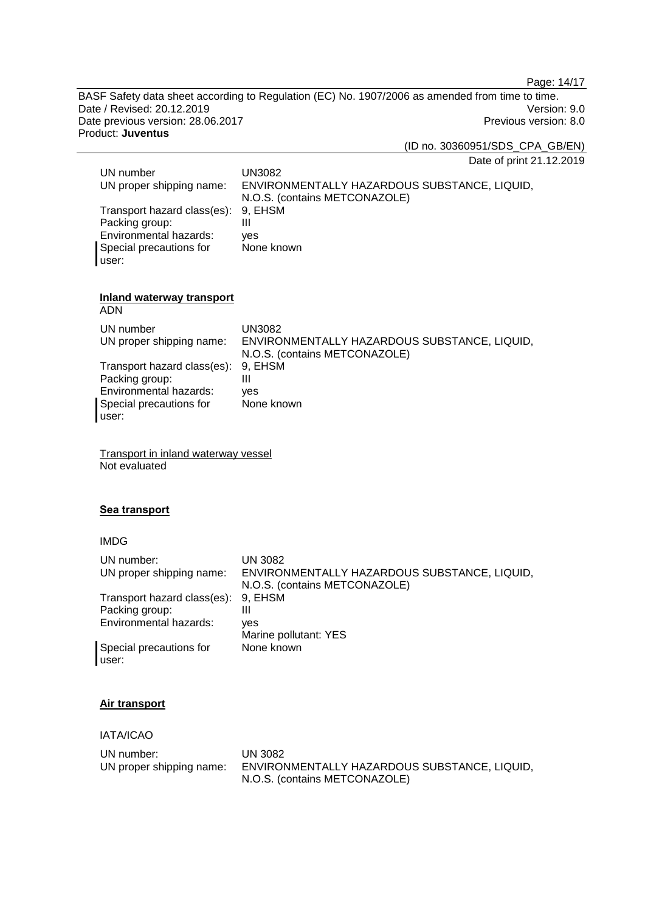Page: 14/17

BASF Safety data sheet according to Regulation (EC) No. 1907/2006 as amended from time to time. Date / Revised: 20.12.2019<br>
Date previous version: 28.06.2017<br>
Previous version: 8.0 Date previous version: 28.06.2017 Product: **Juventus**

(ID no. 30360951/SDS\_CPA\_GB/EN)

Date of print 21.12.2019

| UN number                   | UN3082                                       |
|-----------------------------|----------------------------------------------|
| UN proper shipping name:    | ENVIRONMENTALLY HAZARDOUS SUBSTANCE, LIQUID, |
|                             | N.O.S. (contains METCONAZOLE)                |
| Transport hazard class(es): | 9. EHSM                                      |
| Packing group:              | Ш                                            |
| Environmental hazards:      | ves                                          |
| Special precautions for     | None known                                   |
| user:                       |                                              |

## **Inland waterway transport**

ADN

| UN number<br>UN proper shipping name: | UN3082<br>ENVIRONMENTALLY HAZARDOUS SUBSTANCE, LIQUID,<br>N.O.S. (contains METCONAZOLE) |
|---------------------------------------|-----------------------------------------------------------------------------------------|
| Transport hazard class(es): 9, EHSM   |                                                                                         |
| Packing group:                        | Ш                                                                                       |
| Environmental hazards:                | ves                                                                                     |
| Special precautions for               | None known                                                                              |
| user:                                 |                                                                                         |

Transport in inland waterway vessel Not evaluated

## **Sea transport**

## IMDG

| UN number:<br>UN proper shipping name: | UN 3082<br>ENVIRONMENTALLY HAZARDOUS SUBSTANCE, LIQUID,<br>N.O.S. (contains METCONAZOLE) |
|----------------------------------------|------------------------------------------------------------------------------------------|
| Transport hazard class(es):            | 9. EHSM                                                                                  |
| Packing group:                         | Ш                                                                                        |
| Environmental hazards:                 | ves                                                                                      |
|                                        | Marine pollutant: YES                                                                    |
| Special precautions for<br>user:       | None known                                                                               |

## **Air transport**

IATA/ICAO

| UN number: .             | UN 3082                                      |
|--------------------------|----------------------------------------------|
| UN proper shipping name: | ENVIRONMENTALLY HAZARDOUS SUBSTANCE, LIQUID, |
|                          | N.O.S. (contains METCONAZOLE)                |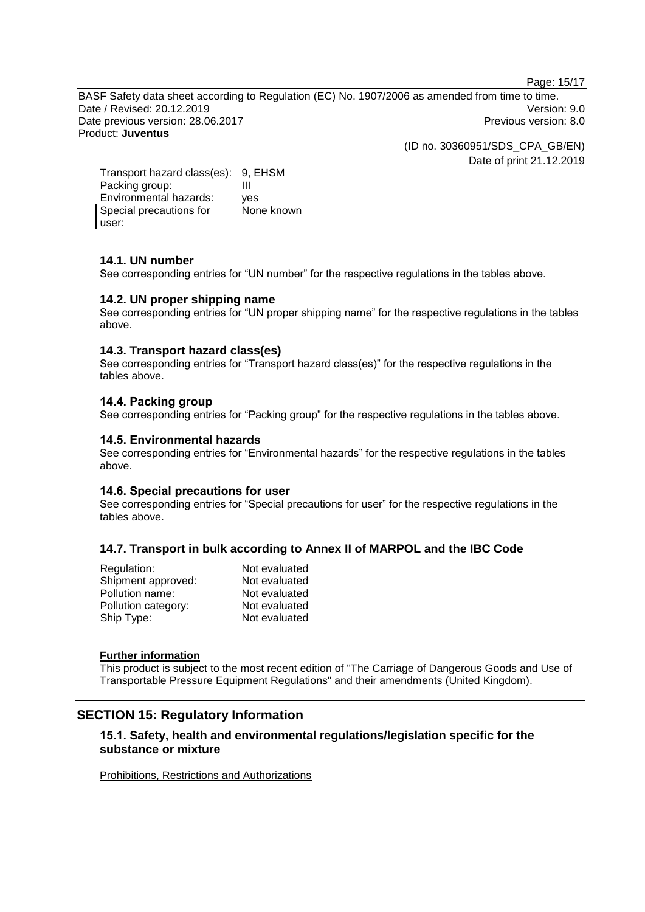Page: 15/17

BASF Safety data sheet according to Regulation (EC) No. 1907/2006 as amended from time to time. Date / Revised: 20.12.2019 Version: 9.0 Date previous version: 28.06.2017 <br>
Previous version: 8.0 Product: **Juventus**

> (ID no. 30360951/SDS\_CPA\_GB/EN) Date of print 21.12.2019

Transport hazard class(es): 9, EHSM<br>Packing group: III Packing group: Environmental hazards: yes Special precautions for user: None known

## **14.1. UN number**

See corresponding entries for "UN number" for the respective regulations in the tables above.

## **14.2. UN proper shipping name**

See corresponding entries for "UN proper shipping name" for the respective regulations in the tables above.

#### **14.3. Transport hazard class(es)**

See corresponding entries for "Transport hazard class(es)" for the respective regulations in the tables above.

#### **14.4. Packing group**

See corresponding entries for "Packing group" for the respective regulations in the tables above.

#### **14.5. Environmental hazards**

See corresponding entries for "Environmental hazards" for the respective regulations in the tables above.

### **14.6. Special precautions for user**

See corresponding entries for "Special precautions for user" for the respective regulations in the tables above.

## **14.7. Transport in bulk according to Annex II of MARPOL and the IBC Code**

| Not evaluated |
|---------------|
| Not evaluated |
| Not evaluated |
| Not evaluated |
| Not evaluated |
|               |

#### **Further information**

This product is subject to the most recent edition of "The Carriage of Dangerous Goods and Use of Transportable Pressure Equipment Regulations" and their amendments (United Kingdom).

## **SECTION 15: Regulatory Information**

## **15.1. Safety, health and environmental regulations/legislation specific for the substance or mixture**

Prohibitions, Restrictions and Authorizations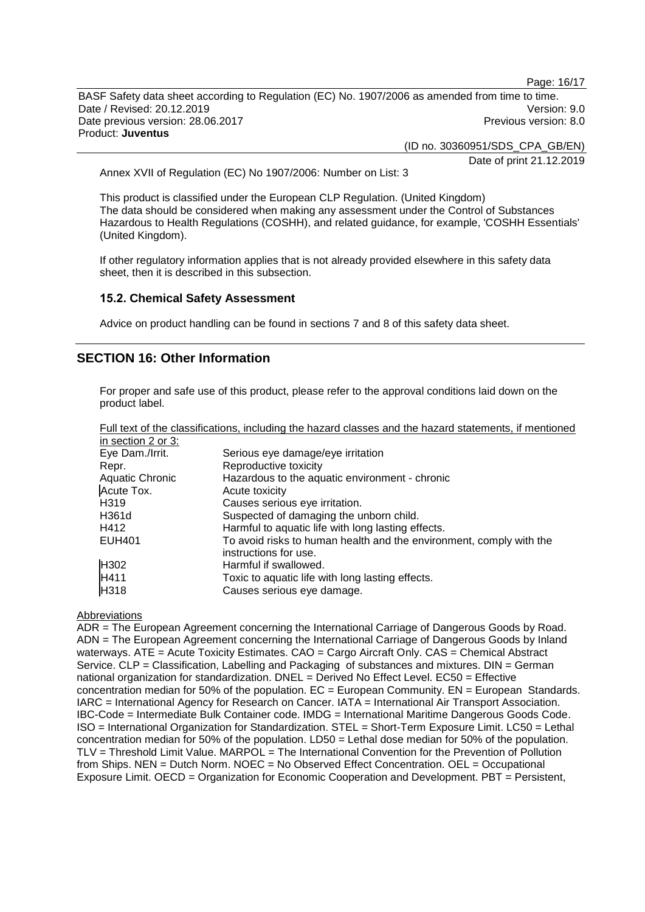Page: 16/17

BASF Safety data sheet according to Regulation (EC) No. 1907/2006 as amended from time to time. Date / Revised: 20.12.2019 Version: 9.0 Date previous version: 28.06.2017 **Previous version: 8.0** Previous version: 8.0 Product: **Juventus**

(ID no. 30360951/SDS\_CPA\_GB/EN)

Date of print 21.12.2019

Annex XVII of Regulation (EC) No 1907/2006: Number on List: 3

This product is classified under the European CLP Regulation. (United Kingdom) The data should be considered when making any assessment under the Control of Substances Hazardous to Health Regulations (COSHH), and related guidance, for example, 'COSHH Essentials' (United Kingdom).

If other regulatory information applies that is not already provided elsewhere in this safety data sheet, then it is described in this subsection.

#### **15.2. Chemical Safety Assessment**

Advice on product handling can be found in sections 7 and 8 of this safety data sheet.

## **SECTION 16: Other Information**

For proper and safe use of this product, please refer to the approval conditions laid down on the product label.

|                    | Full text of the classifications, including the hazard classes and the hazard statements, if mentioned |
|--------------------|--------------------------------------------------------------------------------------------------------|
| in section 2 or 3: |                                                                                                        |
| Eye Dam./Irrit.    | Serious eye damage/eye irritation                                                                      |
| Repr.              | Reproductive toxicity                                                                                  |
| Aquatic Chronic    | Hazardous to the aquatic environment - chronic                                                         |
| Acute Tox.         | Acute toxicity                                                                                         |
| H <sub>3</sub> 19  | Causes serious eye irritation.                                                                         |
| H361d              | Suspected of damaging the unborn child.                                                                |
| H412               | Harmful to aquatic life with long lasting effects.                                                     |
| <b>EUH401</b>      | To avoid risks to human health and the environment, comply with the<br>instructions for use.           |
| H <sub>302</sub>   | Harmful if swallowed.                                                                                  |
| H411               | Toxic to aquatic life with long lasting effects.                                                       |
| H318               | Causes serious eye damage.                                                                             |

## **Abbreviations**

ADR = The European Agreement concerning the International Carriage of Dangerous Goods by Road. ADN = The European Agreement concerning the International Carriage of Dangerous Goods by Inland waterways. ATE = Acute Toxicity Estimates. CAO = Cargo Aircraft Only. CAS = Chemical Abstract Service. CLP = Classification, Labelling and Packaging of substances and mixtures. DIN = German national organization for standardization. DNEL = Derived No Effect Level. EC50 = Effective concentration median for 50% of the population.  $EC = European$  Community.  $EN = European$  Standards. IARC = International Agency for Research on Cancer. IATA = International Air Transport Association. IBC-Code = Intermediate Bulk Container code. IMDG = International Maritime Dangerous Goods Code. ISO = International Organization for Standardization. STEL = Short-Term Exposure Limit. LC50 = Lethal concentration median for 50% of the population. LD50 = Lethal dose median for 50% of the population. TLV = Threshold Limit Value. MARPOL = The International Convention for the Prevention of Pollution from Ships. NEN = Dutch Norm. NOEC = No Observed Effect Concentration. OEL = Occupational Exposure Limit. OECD = Organization for Economic Cooperation and Development. PBT = Persistent,